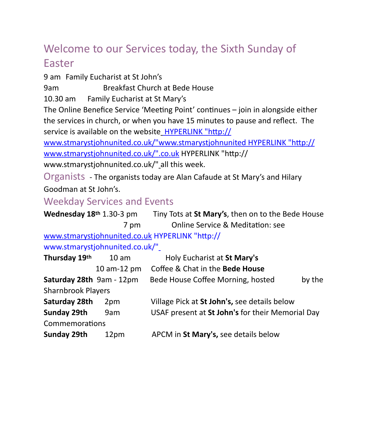# Welcome to our Services today, the Sixth Sunday of Easter

9 am Family Eucharist at St John's

9am Breakfast Church at Bede House

10.30 am Family Eucharist at St Mary's

The Online Benefice Service 'Meeting Point' continues – join in alongside either the services in church, or when you have 15 minutes to pause and reflect. The service is available on the websit[e HYPERLINK "http://](http://www.stmarystjohnunited.co.uk/)

[www.stmarystjohnunited.co.uk/"www.stmarystjohnunited HYPERLINK "http://](http://www.stmarystjohnunited.co.uk/) [www.stmarystjohnunited.co.uk/".co.uk HYPERLINK "http://](http://www.stmarystjohnunited.co.uk/)

[www.stmarystjohnunited.co.uk/"](http://www.stmarystjohnunited.co.uk/) all this week.

Organists - The organists today are Alan Cafaude at St Mary's and Hilary Goodman at St John's.

## Weekday Services and Events

| Wednesday 18th 1.30-3 pm  |                                | Tiny Tots at St Mary's, then on to the Bede House |
|---------------------------|--------------------------------|---------------------------------------------------|
|                           | 7 pm                           | <b>Online Service &amp; Meditation: see</b>       |
|                           |                                | www.stmarystjohnunited.co.uk HYPERLINK "http://   |
|                           | www.stmarystjohnunited.co.uk/" |                                                   |
| Thursday 19th             | 10 <sub>am</sub>               | Holy Eucharist at St Mary's                       |
|                           | 10 am-12 pm                    | Coffee & Chat in the Bede House                   |
| Saturday 28th 9am - 12pm  |                                | Bede House Coffee Morning, hosted<br>by the       |
| <b>Sharnbrook Players</b> |                                |                                                   |
| Saturday 28th             | 2pm                            | Village Pick at St John's, see details below      |
| Sunday 29th               | 9am                            | USAF present at St John's for their Memorial Day  |
| Commemorations            |                                |                                                   |
| <b>Sunday 29th</b>        | 12pm                           | APCM in St Mary's, see details below              |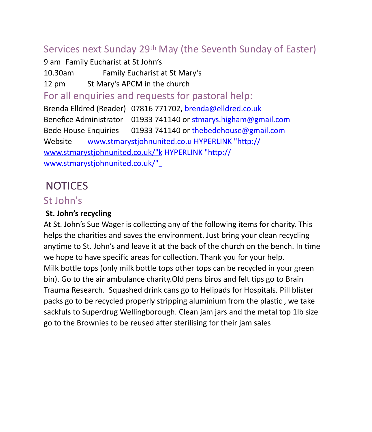## Services next Sunday 29th May (the Seventh Sunday of Easter)

9 am Family Eucharist at St John's

10.30am Family Eucharist at St Mary's

12 pm St Mary's APCM in the church

For all enquiries and requests for pastoral help:

Brenda Elldred (Reader) 07816 771702, brenda@elldred.co.uk Benefice Administrator 01933 741140 or stmarys.higham@gmail.com Bede House Enquiries 01933 741140 or thebedehouse@gmail.com Website [www.stmarystjohnunited.co.u HYPERLINK "http://](http://www.stmarystjohnunited.co.uk/) [www.stmarystjohnunited.co.uk/"k HYPERLINK "http://](http://www.stmarystjohnunited.co.uk/) [www.stmarystjohnunited.co.uk/"](http://www.stmarystjohnunited.co.uk/) 

# **NOTICES**

#### St John's

#### **St. John's recycling**

At St. John's Sue Wager is collecting any of the following items for charity. This helps the charities and saves the environment. Just bring your clean recycling anytime to St. John's and leave it at the back of the church on the bench. In time we hope to have specific areas for collection. Thank you for your help. Milk bottle tops (only milk bottle tops other tops can be recycled in your green bin). Go to the air ambulance charity.Old pens biros and felt tips go to Brain Trauma Research. Squashed drink cans go to Helipads for Hospitals. Pill blister packs go to be recycled properly stripping aluminium from the plastic , we take sackfuls to Superdrug Wellingborough. Clean jam jars and the metal top 1lb size go to the Brownies to be reused after sterilising for their jam sales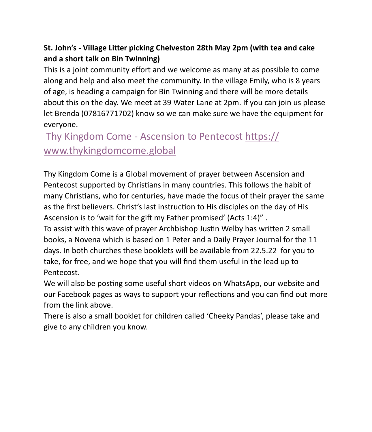#### **St. John's - Village Litter picking Chelveston 28th May 2pm (with tea and cake and a short talk on Bin Twinning)**

This is a joint community effort and we welcome as many at as possible to come along and help and also meet the community. In the village Emily, who is 8 years of age, is heading a campaign for Bin Twinning and there will be more details about this on the day. We meet at 39 Water Lane at 2pm. If you can join us please let Brenda (07816771702) know so we can make sure we have the equipment for everyone.

 Thy Kingdom Come - Ascension to Pentecost [https://](https://www.thykingdomcome.global/) [www.thykingdomcome.global](https://www.thykingdomcome.global/)

Thy Kingdom Come is a Global movement of prayer between Ascension and Pentecost supported by Christians in many countries. This follows the habit of many Christians, who for centuries, have made the focus of their prayer the same as the first believers. Christ's last instruction to His disciples on the day of His Ascension is to 'wait for the gift my Father promised' (Acts 1:4)" .

To assist with this wave of prayer Archbishop Justin Welby has written 2 small books, a Novena which is based on 1 Peter and a Daily Prayer Journal for the 11 days. In both churches these booklets will be available from 22.5.22 for you to take, for free, and we hope that you will find them useful in the lead up to Pentecost.

We will also be posting some useful short videos on WhatsApp, our website and our Facebook pages as ways to support your reflections and you can find out more from the link above.

There is also a small booklet for children called 'Cheeky Pandas', please take and give to any children you know.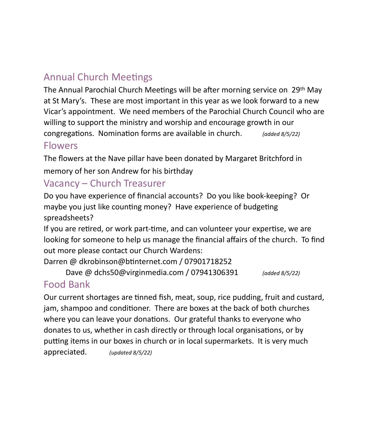# Annual Church Meetings

The Annual Parochial Church Meetings will be after morning service on 29th May at St Mary's. These are most important in this year as we look forward to a new Vicar's appointment. We need members of the Parochial Church Council who are willing to support the ministry and worship and encourage growth in our congregations. Nomination forms are available in church. *(added 8/5/22)*

#### Flowers

The flowers at the Nave pillar have been donated by Margaret Britchford in memory of her son Andrew for his birthday

## Vacancy – Church Treasurer

Do you have experience of financial accounts? Do you like book-keeping? Or maybe you just like counting money? Have experience of budgeting spreadsheets?

If you are retired, or work part-time, and can volunteer your expertise, we are looking for someone to help us manage the financial affairs of the church. To find out more please contact our Church Wardens:

Darren @ dkrobinson@btinternet.com / 07901718252

Dave @ dchs50@virginmedia.com / 07941306391 *(added 8/5/22)*

# Food Bank

Our current shortages are tinned fish, meat, soup, rice pudding, fruit and custard, jam, shampoo and conditioner. There are boxes at the back of both churches where you can leave your donations. Our grateful thanks to everyone who donates to us, whether in cash directly or through local organisations, or by putting items in our boxes in church or in local supermarkets. It is very much appreciated. *(updated 8/5/22)*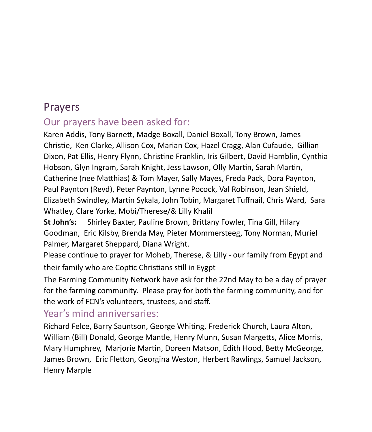# Prayers

## Our prayers have been asked for:

Karen Addis, Tony Barnett, Madge Boxall, Daniel Boxall, Tony Brown, James Christie, Ken Clarke, Allison Cox, Marian Cox, Hazel Cragg, Alan Cufaude, Gillian Dixon, Pat Ellis, Henry Flynn, Christine Franklin, Iris Gilbert, David Hamblin, Cynthia Hobson, Glyn Ingram, Sarah Knight, Jess Lawson, Olly Martin, Sarah Martin, Catherine (nee Matthias) & Tom Mayer, Sally Mayes, Freda Pack, Dora Paynton, Paul Paynton (Revd), Peter Paynton, Lynne Pocock, Val Robinson, Jean Shield, Elizabeth Swindley, Martin Sykala, John Tobin, Margaret Tuffnail, Chris Ward, Sara Whatley, Clare Yorke, Mobi/Therese/& Lilly Khalil

**St John's:** Shirley Baxter, Pauline Brown, Brittany Fowler, Tina Gill, Hilary Goodman, Eric Kilsby, Brenda May, Pieter Mommersteeg, Tony Norman, Muriel Palmer, Margaret Sheppard, Diana Wright.

Please continue to prayer for Moheb, Therese, & Lilly - our family from Egypt and their family who are Coptic Christians still in Eygpt

The Farming Community Network have ask for the 22nd May to be a day of prayer for the farming community. Please pray for both the farming community, and for the work of FCN's volunteers, trustees, and staff.

### Year's mind anniversaries:

Richard Felce, Barry Sauntson, George Whiting, Frederick Church, Laura Alton, William (Bill) Donald, George Mantle, Henry Munn, Susan Margetts, Alice Morris, Mary Humphrey, Marjorie Martin, Doreen Matson, Edith Hood, Betty McGeorge, James Brown, Eric Fletton, Georgina Weston, Herbert Rawlings, Samuel Jackson, Henry Marple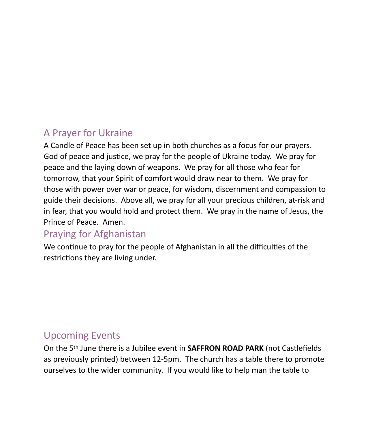## A Prayer for Ukraine

A Candle of Peace has been set up in both churches as a focus for our prayers. God of peace and justice, we pray for the people of Ukraine today. We pray for peace and the laying down of weapons. We pray for all those who fear for tomorrow, that your Spirit of comfort would draw near to them. We pray for those with power over war or peace, for wisdom, discernment and compassion to guide their decisions. Above all, we pray for all your precious children, at-risk and in fear, that you would hold and protect them. We pray in the name of Jesus, the Prince of Peace. Amen.

### Praying for Afghanistan

We continue to pray for the people of Afghanistan in all the difficulties of the restrictions they are living under.

### Upcoming Events

On the 5th June there is a Jubilee event in **SAFFRON ROAD PARK** (not Castlefields as previously printed) between 12-5pm. The church has a table there to promote ourselves to the wider community. If you would like to help man the table to